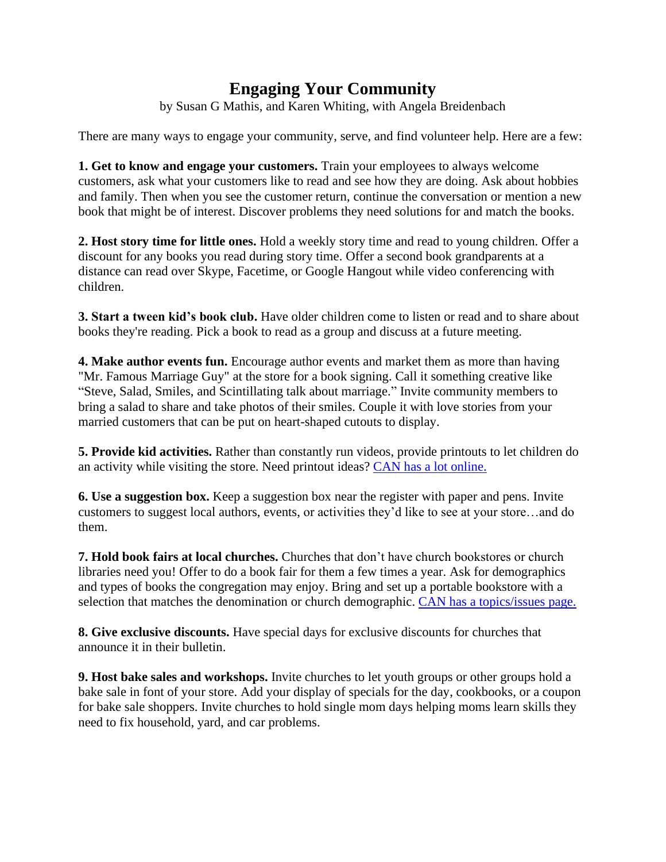## **Engaging Your Community**

by Susan G Mathis, and Karen Whiting, with Angela Breidenbach

There are many ways to engage your community, serve, and find volunteer help. Here are a few:

**1. Get to know and engage your customers.** Train your employees to always welcome customers, ask what your customers like to read and see how they are doing. Ask about hobbies and family. Then when you see the customer return, continue the conversation or mention a new book that might be of interest. Discover problems they need solutions for and match the books.

**2. Host story time for little ones.** Hold a weekly story time and read to young children. Offer a discount for any books you read during story time. Offer a second book grandparents at a distance can read over Skype, Facetime, or Google Hangout while video conferencing with children.

**3. Start a tween kid's book club.** Have older children come to listen or read and to share about books they're reading. Pick a book to read as a group and discuss at a future meeting.

**4. Make author events fun.** Encourage author events and market them as more than having "Mr. Famous Marriage Guy" at the store for a book signing. Call it something creative like "Steve, Salad, Smiles, and Scintillating talk about marriage." Invite community members to bring a salad to share and take photos of their smiles. Couple it with love stories from your married customers that can be put on heart-shaped cutouts to display.

**5. Provide kid activities.** Rather than constantly run videos, provide printouts to let children do an activity while visiting the store. Need printout ideas? CAN has a lot online.

**6. Use a suggestion box.** Keep a suggestion box near the register with paper and pens. Invite customers to suggest local authors, events, or activities they'd like to see at your store…and do them.

**7. Hold book fairs at local churches.** Churches that don't have church bookstores or church libraries need you! Offer to do a book fair for them a few times a year. Ask for demographics and types of books the congregation may enjoy. Bring and set up a portable bookstore with a selection that matches the denomination or church demographic. CAN has a topics/issues page.

**8. Give exclusive discounts.** Have special days for exclusive discounts for churches that announce it in their bulletin.

**9. Host bake sales and workshops.** Invite churches to let youth groups or other groups hold a bake sale in font of your store. Add your display of specials for the day, cookbooks, or a coupon for bake sale shoppers. Invite churches to hold single mom days helping moms learn skills they need to fix household, yard, and car problems.